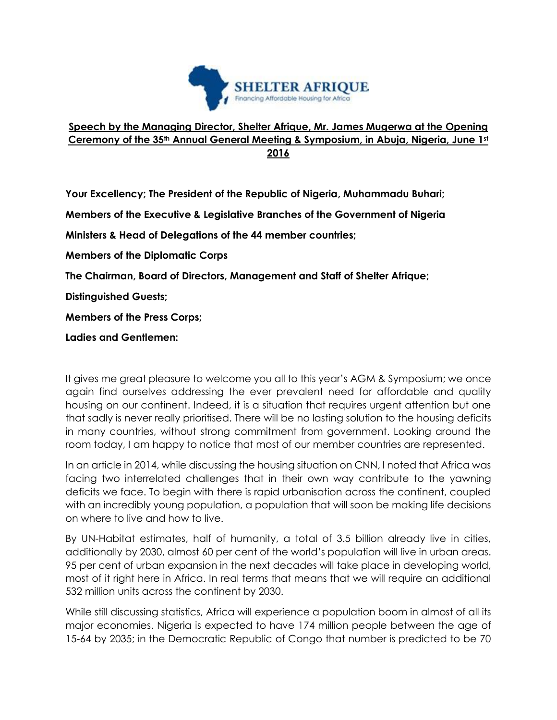

## **Speech by the Managing Director, Shelter Afrique, Mr. James Mugerwa at the Opening Ceremony of the 35th Annual General Meeting & Symposium, in Abuja, Nigeria, June 1st 2016**

**Your Excellency; The President of the Republic of Nigeria, Muhammadu Buhari;**

**Members of the Executive & Legislative Branches of the Government of Nigeria**

**Ministers & Head of Delegations of the 44 member countries;**

**Members of the Diplomatic Corps**

**The Chairman, Board of Directors, Management and Staff of Shelter Afrique;**

**Distinguished Guests;**

**Members of the Press Corps;**

**Ladies and Gentlemen:**

It gives me great pleasure to welcome you all to this year's AGM & Symposium; we once again find ourselves addressing the ever prevalent need for affordable and quality housing on our continent. Indeed, it is a situation that requires urgent attention but one that sadly is never really prioritised. There will be no lasting solution to the housing deficits in many countries, without strong commitment from government. Looking around the room today, I am happy to notice that most of our member countries are represented.

In an article in 2014, while discussing the housing situation on CNN, I noted that Africa was facing two interrelated challenges that in their own way contribute to the yawning deficits we face. To begin with there is rapid urbanisation across the continent, coupled with an incredibly young population, a population that will soon be making life decisions on where to live and how to live.

By UN-Habitat estimates, half of humanity, a total of 3.5 billion already live in cities, additionally by 2030, almost 60 per cent of the world's population will live in urban areas. 95 per cent of urban expansion in the next decades will take place in developing world, most of it right here in Africa. In real terms that means that we will require an additional 532 million units across the continent by 2030.

While still discussing statistics, Africa will experience a population boom in almost of all its major economies. Nigeria is expected to have 174 million people between the age of 15-64 by 2035; in the Democratic Republic of Congo that number is predicted to be 70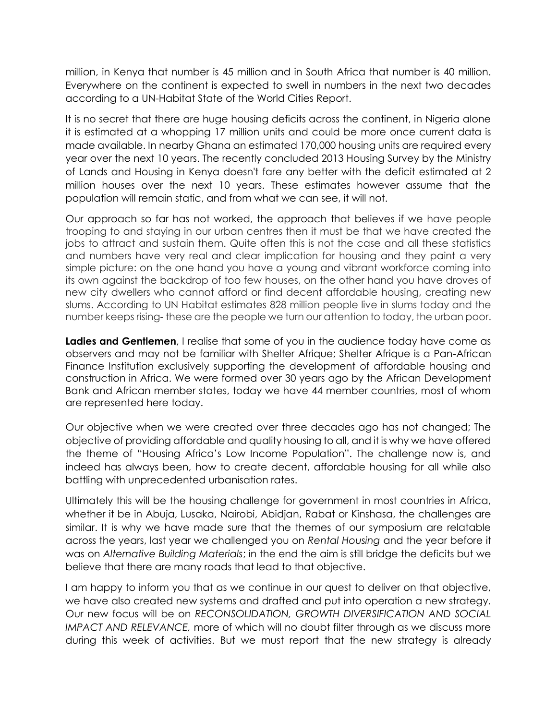million, in Kenya that number is 45 million and in South Africa that number is 40 million. Everywhere on the continent is expected to swell in numbers in the next two decades according to a UN-Habitat State of the World Cities Report.

It is no secret that there are huge housing deficits across the continent, in Nigeria alone it is estimated at a whopping 17 million units and could be more once current data is made available. In nearby Ghana an estimated 170,000 housing units are required every year over the next 10 years. The recently concluded 2013 Housing Survey by the Ministry of Lands and Housing in Kenya doesn't fare any better with the deficit estimated at 2 million houses over the next 10 years. These estimates however assume that the population will remain static, and from what we can see, it will not.

Our approach so far has not worked, the approach that believes if we have people trooping to and staying in our urban centres then it must be that we have created the jobs to attract and sustain them. Quite often this is not the case and all these statistics and numbers have very real and clear implication for housing and they paint a very simple picture: on the one hand you have a young and vibrant workforce coming into its own against the backdrop of too few houses, on the other hand you have droves of new city dwellers who cannot afford or find decent affordable housing, creating new slums. According to UN Habitat estimates 828 million people live in slums today and the number keeps rising- these are the people we turn our attention to today, the urban poor.

**Ladies and Gentlemen**, I realise that some of you in the audience today have come as observers and may not be familiar with Shelter Afrique; Shelter Afrique is a Pan-African Finance Institution exclusively supporting the development of affordable housing and construction in Africa. We were formed over 30 years ago by the African Development Bank and African member states, today we have 44 member countries, most of whom are represented here today.

Our objective when we were created over three decades ago has not changed; The objective of providing affordable and quality housing to all, and it is why we have offered the theme of "Housing Africa's Low Income Population". The challenge now is, and indeed has always been, how to create decent, affordable housing for all while also battling with unprecedented urbanisation rates.

Ultimately this will be the housing challenge for government in most countries in Africa, whether it be in Abuja, Lusaka, Nairobi, Abidjan, Rabat or Kinshasa, the challenges are similar. It is why we have made sure that the themes of our symposium are relatable across the years, last year we challenged you on *Rental Housing* and the year before it was on *Alternative Building Materials*; in the end the aim is still bridge the deficits but we believe that there are many roads that lead to that objective.

I am happy to inform you that as we continue in our quest to deliver on that objective, we have also created new systems and drafted and put into operation a new strategy. Our new focus will be on *RECONSOLIDATION, GROWTH DIVERSIFICATION AND SOCIAL IMPACT AND RELEVANCE,* more of which will no doubt filter through as we discuss more during this week of activities. But we must report that the new strategy is already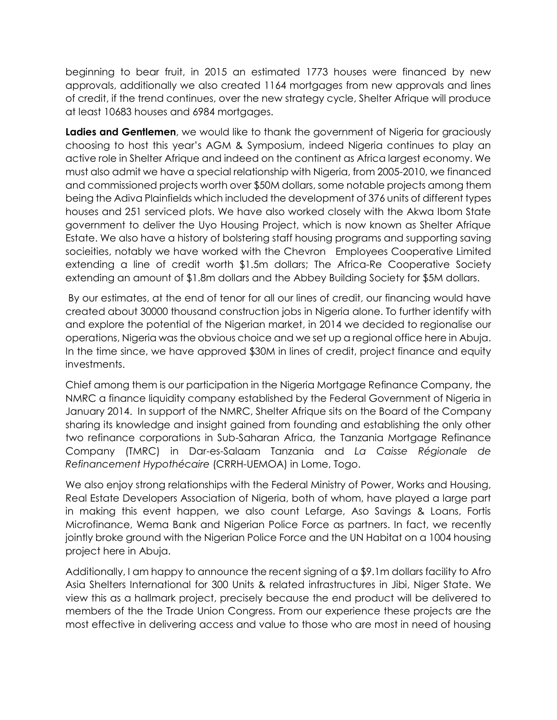beginning to bear fruit, in 2015 an estimated 1773 houses were financed by new approvals, additionally we also created 1164 mortgages from new approvals and lines of credit, if the trend continues, over the new strategy cycle, Shelter Afrique will produce at least 10683 houses and 6984 mortgages.

**Ladies and Gentlemen**, we would like to thank the government of Nigeria for graciously choosing to host this year's AGM & Symposium, indeed Nigeria continues to play an active role in Shelter Afrique and indeed on the continent as Africa largest economy. We must also admit we have a special relationship with Nigeria, from 2005-2010, we financed and commissioned projects worth over \$50M dollars, some notable projects among them being the Adiva Plainfields which included the development of 376 units of different types houses and 251 serviced plots. We have also worked closely with the Akwa Ibom State government to deliver the Uyo Housing Project, which is now known as Shelter Afrique Estate. We also have a history of bolstering staff housing programs and supporting saving socieities, notably we have worked with the Chevron Employees Cooperative Limited extending a line of credit worth \$1.5m dollars; The Africa-Re Cooperative Society extending an amount of \$1.8m dollars and the Abbey Building Society for \$5M dollars.

By our estimates, at the end of tenor for all our lines of credit, our financing would have created about 30000 thousand construction jobs in Nigeria alone. To further identify with and explore the potential of the Nigerian market, in 2014 we decided to regionalise our operations, Nigeria was the obvious choice and we set up a regional office here in Abuja. In the time since, we have approved \$30M in lines of credit, project finance and equity investments.

Chief among them is our participation in the Nigeria Mortgage Refinance Company, the NMRC a finance liquidity company established by the Federal Government of Nigeria in January 2014. In support of the NMRC, Shelter Afrique sits on the Board of the Company sharing its knowledge and insight gained from founding and establishing the only other two refinance corporations in Sub-Saharan Africa, the Tanzania Mortgage Refinance Company (TMRC) in Dar-es-Salaam Tanzania and *La Caisse Régionale de Refinancement Hypothécaire* (CRRH-UEMOA) in Lome, Togo.

We also enjoy strong relationships with the Federal Ministry of Power, Works and Housing, Real Estate Developers Association of Nigeria, both of whom, have played a large part in making this event happen, we also count Lefarge, Aso Savings & Loans, Fortis Microfinance, Wema Bank and Nigerian Police Force as partners. In fact, we recently jointly broke ground with the Nigerian Police Force and the UN Habitat on a 1004 housing project here in Abuja.

Additionally, I am happy to announce the recent signing of a \$9.1m dollars facility to Afro Asia Shelters International for 300 Units & related infrastructures in Jibi, Niger State. We view this as a hallmark project, precisely because the end product will be delivered to members of the the Trade Union Congress. From our experience these projects are the most effective in delivering access and value to those who are most in need of housing